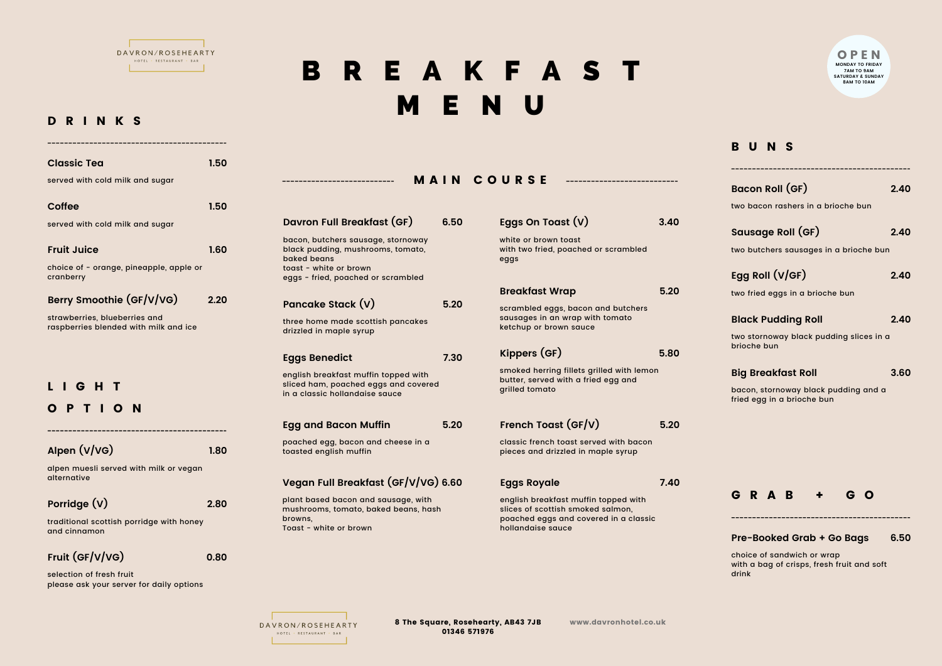

D R I N K S

## B R E A K F A S T M E N U

| <b>Classic Tea</b>                                                     | 1.50 |                                                                                                                  |      |                                                                                                                                         |                                           |  |
|------------------------------------------------------------------------|------|------------------------------------------------------------------------------------------------------------------|------|-----------------------------------------------------------------------------------------------------------------------------------------|-------------------------------------------|--|
| served with cold milk and sugar                                        |      | --------------------------                                                                                       |      | <b>MAIN COURSE</b>                                                                                                                      |                                           |  |
|                                                                        |      |                                                                                                                  |      |                                                                                                                                         |                                           |  |
| Coffee                                                                 | 1.50 |                                                                                                                  |      |                                                                                                                                         |                                           |  |
| served with cold milk and sugar                                        |      | Davron Full Breakfast (GF)                                                                                       | 6.50 | Eggs On Toast $(V)$                                                                                                                     | 3.40                                      |  |
| <b>Fruit Juice</b><br>choice of - orange, pineapple, apple or          | 1.60 | bacon, butchers sausage, stornoway<br>black pudding, mushrooms, tomato,<br>baked beans<br>toast - white or brown |      | white or brown toast<br>with two fried, poached or scrambled<br>eggs                                                                    |                                           |  |
| cranberry                                                              |      | eggs - fried, poached or scrambled                                                                               |      | <b>Breakfast Wrap</b>                                                                                                                   | 5.20                                      |  |
| Berry Smoothie (GF/V/VG)                                               | 2.20 | Pancake Stack (V)                                                                                                | 5.20 | scrambled eggs, bacon and butchers                                                                                                      |                                           |  |
| strawberries, blueberries and<br>raspberries blended with milk and ice |      | three home made scottish pancakes<br>drizzled in maple syrup                                                     |      | sausages in an wrap with tomato<br>ketchup or brown sauce                                                                               |                                           |  |
|                                                                        |      | <b>Eggs Benedict</b>                                                                                             | 7.30 | Kippers (GF)                                                                                                                            | 5.80                                      |  |
| G H T                                                                  |      | english breakfast muffin topped with<br>sliced ham, poached eggs and covered<br>in a classic hollandaise sauce   |      | butter, served with a fried egg and<br>grilled tomato                                                                                   | smoked herring fillets grilled with lemon |  |
| O P T I O N                                                            |      |                                                                                                                  |      |                                                                                                                                         |                                           |  |
| -------------------------------                                        |      | <b>Egg and Bacon Muffin</b>                                                                                      | 5.20 | French Toast (GF/V)                                                                                                                     | 5.20                                      |  |
| Alpen (V/VG)                                                           | 1.80 | poached egg, bacon and cheese in a<br>toasted english muffin                                                     |      | classic french toast served with bacon<br>pieces and drizzled in maple syrup                                                            |                                           |  |
| alpen muesli served with milk or vegan                                 |      |                                                                                                                  |      |                                                                                                                                         |                                           |  |
| alternative                                                            |      | Vegan Full Breakfast (GF/V/VG) 6.60                                                                              |      | <b>Eggs Royale</b>                                                                                                                      | 7.40                                      |  |
| Porridge (V)                                                           | 2.80 | plant based bacon and sausage, with<br>mushrooms, tomato, baked beans, hash<br>browns,<br>Toast - white or brown |      | english breakfast muffin topped with<br>slices of scottish smoked salmon,<br>poached eggs and covered in a classic<br>hollandaise sauce |                                           |  |
| traditional scottish porridge with honey<br>and cinnamon               |      |                                                                                                                  |      |                                                                                                                                         |                                           |  |
| Fruit (GF/V/VG)                                                        | 0.80 |                                                                                                                  |      |                                                                                                                                         |                                           |  |
| selection of fresh fruit<br>please ask your server for daily options   |      |                                                                                                                  |      |                                                                                                                                         |                                           |  |

O P E N **MONDAY TO FRIDAY 7AM TO 9AM SATURDAY & SUNDAY 8AM TO 10AM**

## B U N S

| Bacon Roll (GF)<br>two bacon rashers in a brioche bun                                           | 2.40 |
|-------------------------------------------------------------------------------------------------|------|
| Sausage Roll (GF)                                                                               | 2.40 |
| two butchers sausages in a brioche bun<br>Egg Roll (V/GF)<br>two fried eggs in a brioche bun    | 2.40 |
| <b>Black Pudding Roll</b><br>two stornoway black pudding slices in a<br>brioche bun             | 2.40 |
| <b>Big Breakfast Roll</b><br>bacon, stornoway black pudding and a<br>fried egg in a brioche bun | 3.60 |
|                                                                                                 |      |
| GRAB + GO                                                                                       |      |
| <b>Pre-Booked Grab + Go Bags</b><br>choice of sandwich or wran                                  | 6.50 |

choice of sandwich or wrap with a bag of crisps, fresh fruit and soft drink

**The Community** DAVRON/ROSEHEARTY HOTEL · RESTAURANT · BAR The control of the con-

8 The Square, Rosehearty, AB43 7JB www.davronhotel.co.uk 01346 571976